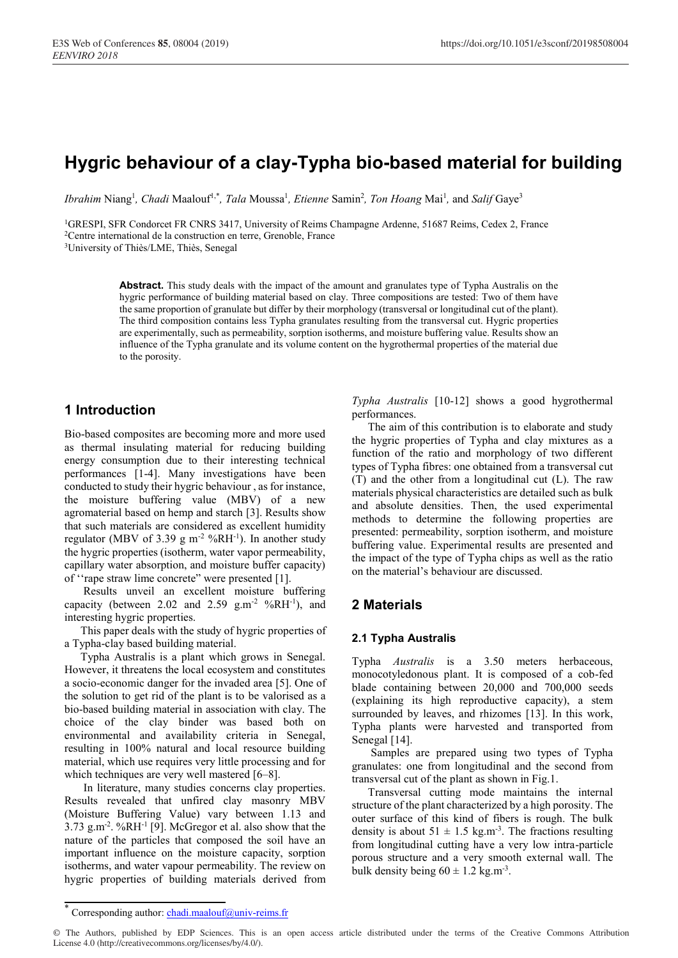# **Hygric behaviour of a clay-Typha bio-based material for building**

Ibrahim Niang<sup>1</sup>, Chadi Maalouf<sup>1,\*</sup>, Tala Moussa<sup>1</sup>, Etienne Samin<sup>2</sup>, Ton Hoang Mai<sup>1</sup>, and Salif Gaye<sup>3</sup>

<sup>1</sup>GRESPI, SFR Condorcet FR CNRS 3417, University of Reims Champagne Ardenne, 51687 Reims, Cedex 2, France <sup>2</sup>Centre international de la construction en terre, Grenoble, France

3University of Thiès/LME, Thiès, Senegal

**Abstract.** This study deals with the impact of the amount and granulates type of Typha Australis on the hygric performance of building material based on clay. Three compositions are tested: Two of them have the same proportion of granulate but differ by their morphology (transversal or longitudinal cut of the plant). The third composition contains less Typha granulates resulting from the transversal cut. Hygric properties are experimentally, such as permeability, sorption isotherms, and moisture buffering value. Results show an influence of the Typha granulate and its volume content on the hygrothermal properties of the material due to the porosity.

# **1 Introduction**

Bio-based composites are becoming more and more used as thermal insulating material for reducing building energy consumption due to their interesting technical performances [1-4]. Many investigations have been conducted to study their hygric behaviour , as for instance, the moisture buffering value (MBV) of a new agromaterial based on hemp and starch [3]. Results show that such materials are considered as excellent humidity regulator (MBV of 3.39 g m<sup>-2</sup> %RH<sup>-1</sup>). In another study the hygric properties (isotherm, water vapor permeability, capillary water absorption, and moisture buffer capacity) of ''rape straw lime concrete" were presented [1].

Results unveil an excellent moisture buffering capacity (between 2.02 and 2.59  $\text{g.m}^{-2}$  %RH<sup>-1</sup>), and interesting hygric properties.

This paper deals with the study of hygric properties of a Typha-clay based building material.

Typha Australis is a plant which grows in Senegal. However, it threatens the local ecosystem and constitutes a socio-economic danger for the invaded area [5]. One of the solution to get rid of the plant is to be valorised as a bio-based building material in association with clay. The choice of the clay binder was based both on environmental and availability criteria in Senegal, resulting in 100% natural and local resource building material, which use requires very little processing and for which techniques are very well mastered [6–8].

In literature, many studies concerns clay properties. Results revealed that unfired clay masonry MBV (Moisture Buffering Value) vary between 1.13 and  $3.73$  g.m<sup>-2</sup>. %RH<sup>-1</sup> [9]. McGregor et al. also show that the nature of the particles that composed the soil have an important influence on the moisture capacity, sorption isotherms, and water vapour permeability. The review on hygric properties of building materials derived from

*Typha Australis* [10-12] shows a good hygrothermal performances.

The aim of this contribution is to elaborate and study the hygric properties of Typha and clay mixtures as a function of the ratio and morphology of two different types of Typha fibres: one obtained from a transversal cut (T) and the other from a longitudinal cut (L). The raw materials physical characteristics are detailed such as bulk and absolute densities. Then, the used experimental methods to determine the following properties are presented: permeability, sorption isotherm, and moisture buffering value. Experimental results are presented and the impact of the type of Typha chips as well as the ratio on the material's behaviour are discussed.

# **2 Materials**

### **2.1 Typha Australis**

Typha *Australis* is a 3.50 meters herbaceous, monocotyledonous plant. It is composed of a cob-fed blade containing between 20,000 and 700,000 seeds (explaining its high reproductive capacity), a stem surrounded by leaves, and rhizomes [13]. In this work, Typha plants were harvested and transported from Senegal [14].

Samples are prepared using two types of Typha granulates: one from longitudinal and the second from transversal cut of the plant as shown in Fig.1.

Transversal cutting mode maintains the internal structure of the plant characterized by a high porosity. The outer surface of this kind of fibers is rough. The bulk density is about  $51 \pm 1.5$  kg.m<sup>-3</sup>. The fractions resulting from longitudinal cutting have a very low intra-particle porous structure and a very smooth external wall. The bulk density being  $60 \pm 1.2$  kg.m<sup>-3</sup>.

Corresponding author: chadi.maalouf@univ-reims.fr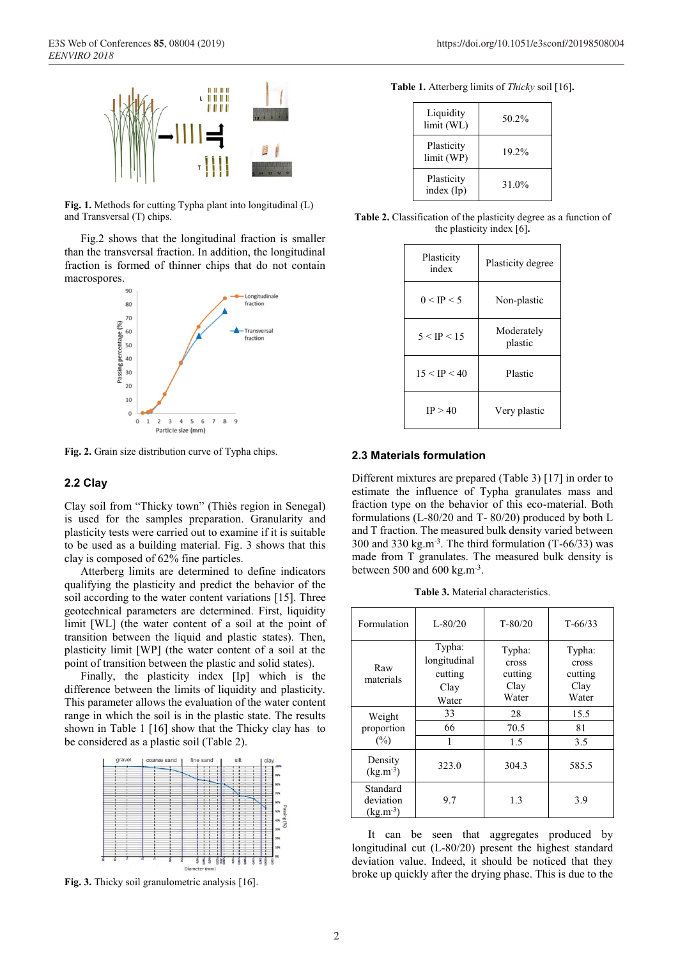

**Fig. 1.** Methods for cutting Typha plant into longitudinal (L) and Transversal (T) chips.

Fig.2 shows that the longitudinal fraction is smaller than the transversal fraction. In addition, the longitudinal fraction is formed of thinner chips that do not contain macrospores.



**Fig. 2.** Grain size distribution curve of Typha chips.

### **2.2 Clay**

Clay soil from "Thicky town" (Thiès region in Senegal) is used for the samples preparation. Granularity and plasticity tests were carried out to examine if it is suitable to be used as a building material. Fig. 3 shows that this clay is composed of 62% fine particles.

Atterberg limits are determined to define indicators qualifying the plasticity and predict the behavior of the soil according to the water content variations [15]. Three geotechnical parameters are determined. First, liquidity limit [WL] (the water content of a soil at the point of transition between the liquid and plastic states). Then, plasticity limit [WP] (the water content of a soil at the point of transition between the plastic and solid states).

Finally, the plasticity index [Ip] which is the difference between the limits of liquidity and plasticity. This parameter allows the evaluation of the water content range in which the soil is in the plastic state. The results shown in Table 1 [16] show that the Thicky clay has to be considered as a plastic soil (Table 2).



**Fig. 3.** Thicky soil granulometric analysis [16].

| Table 1. Atterberg limits of Thicky soil [16]. |  |  |  |  |  |
|------------------------------------------------|--|--|--|--|--|
|------------------------------------------------|--|--|--|--|--|

| Liquidity<br>limit (WL)  | $50.2\%$ |
|--------------------------|----------|
| Plasticity<br>limit (WP) | 19.2%    |
| Plasticity<br>index (Ip) | 31.0%    |

**Table 2.** Classification of the plasticity degree as a function of the plasticity index [6]**.**

| Plasticity<br>index | Plasticity degree     |
|---------------------|-----------------------|
| 0 < IP < 5          | Non-plastic           |
| 5 < IP < 15         | Moderately<br>plastic |
| 15 < IP < 40        | Plastic               |
| IP > 40             | Very plastic          |

#### **2.3 Materials formulation**

Different mixtures are prepared (Table 3) [17] in order to estimate the influence of Typha granulates mass and fraction type on the behavior of this eco-material. Both formulations (L-80/20 and T- 80/20) produced by both L and T fraction. The measured bulk density varied between 300 and 330 kg.m<sup>-3</sup>. The third formulation  $(T-66/33)$  was made from T granulates. The measured bulk density is between 500 and 600 kg.m<sup>-3</sup>.

**Table 3.** Material characteristics.

| Formulation                            | $L - 80/20$                                        | $T - 80/20$                                 | $T - 66/33$                                 |
|----------------------------------------|----------------------------------------------------|---------------------------------------------|---------------------------------------------|
| Raw<br>materials                       | Typha:<br>longitudinal<br>cutting<br>Clay<br>Water | Typha:<br>cross<br>cutting<br>Clay<br>Water | Typha:<br>cross<br>cutting<br>Clay<br>Water |
| Weight                                 | 33                                                 | 28                                          | 15.5                                        |
| proportion                             | 66                                                 | 70.5                                        | 81                                          |
| (%)                                    | 1                                                  | 1.5                                         | 3.5                                         |
| Density<br>$(kg.m^{-3})$               | 323.0                                              | 304.3                                       | 585.5                                       |
| Standard<br>deviation<br>$(kg.m^{-3})$ | 9.7                                                | 1.3                                         | 3.9                                         |

It can be seen that aggregates produced by longitudinal cut (L-80/20) present the highest standard deviation value. Indeed, it should be noticed that they broke up quickly after the drying phase. This is due to the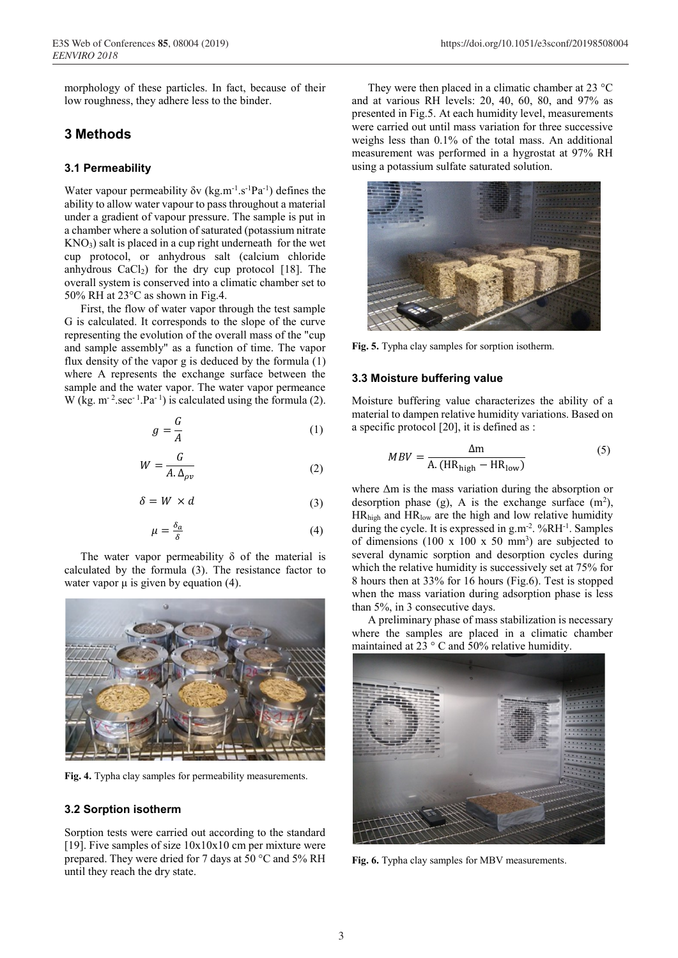morphology of these particles. In fact, because of their low roughness, they adhere less to the binder.

# **3 Methods**

#### **3.1 Permeability**

Water vapour permeability  $\delta v$  (kg.m<sup>-1</sup>.s<sup>-1</sup>Pa<sup>-1</sup>) defines the ability to allow water vapour to pass throughout a material under a gradient of vapour pressure. The sample is put in a chamber where a solution of saturated (potassium nitrate  $KNO<sub>3</sub>$ ) salt is placed in a cup right underneath for the wet cup protocol, or anhydrous salt (calcium chloride anhydrous  $CaCl<sub>2</sub>$ ) for the dry cup protocol [18]. The overall system is conserved into a climatic chamber set to 50% RH at 23°C as shown in Fig.4.

First, the flow of water vapor through the test sample G is calculated. It corresponds to the slope of the curve representing the evolution of the overall mass of the "cup and sample assembly" as a function of time. The vapor flux density of the vapor g is deduced by the formula (1) where A represents the exchange surface between the sample and the water vapor. The water vapor permeance W (kg.  $m^{-2}$ .sec<sup>-1</sup>.Pa<sup>-1</sup>) is calculated using the formula (2).

$$
g = \frac{G}{A} \tag{1}
$$

$$
W = \frac{G}{A. \Delta_{\rho v}}\tag{2}
$$

$$
\delta = W \times d \tag{3}
$$

$$
\mu = \frac{\delta_a}{\delta} \tag{4}
$$

The water vapor permeability  $\delta$  of the material is calculated by the formula (3). The resistance factor to water vapor  $\mu$  is given by equation (4).



**Fig. 4.** Typha clay samples for permeability measurements.

#### **3.2 Sorption isotherm**

Sorption tests were carried out according to the standard [19]. Five samples of size  $10x10x10$  cm per mixture were prepared. They were dried for 7 days at 50 °C and 5% RH until they reach the dry state.

They were then placed in a climatic chamber at 23 °C and at various RH levels: 20, 40, 60, 80, and 97% as presented in Fig.5. At each humidity level, measurements were carried out until mass variation for three successive weighs less than 0.1% of the total mass. An additional measurement was performed in a hygrostat at 97% RH using a potassium sulfate saturated solution.



**Fig. 5.** Typha clay samples for sorption isotherm.

#### **3.3 Moisture buffering value**

Moisture buffering value characterizes the ability of a material to dampen relative humidity variations. Based on a specific protocol [20], it is defined as :

$$
MBV = \frac{\Delta m}{A. (HR_{high} - HR_{low})}
$$
 (5)

where Δm is the mass variation during the absorption or desorption phase (g), A is the exchange surface  $(m^2)$ , HRhigh and HRlow are the high and low relative humidity during the cycle. It is expressed in  $g.m^{-2}$ . %RH $^{-1}$ . Samples of dimensions (100 x 100 x 50 mm<sup>3</sup>) are subjected to several dynamic sorption and desorption cycles during which the relative humidity is successively set at 75% for 8 hours then at 33% for 16 hours (Fig.6). Test is stopped when the mass variation during adsorption phase is less than 5%, in 3 consecutive days.

A preliminary phase of mass stabilization is necessary where the samples are placed in a climatic chamber maintained at  $23 \degree$  C and 50% relative humidity.



**Fig. 6.** Typha clay samples for MBV measurements.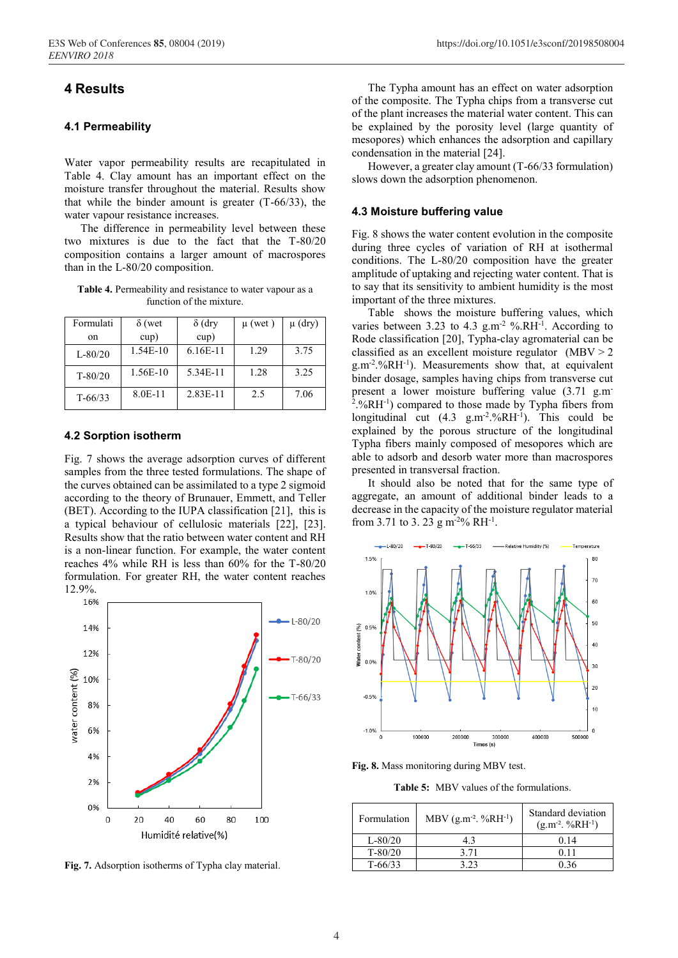# **4 Results**

#### **4.1 Permeability**

Water vapor permeability results are recapitulated in Table 4. Clay amount has an important effect on the moisture transfer throughout the material. Results show that while the binder amount is greater (T-66/33), the water vapour resistance increases.

The difference in permeability level between these two mixtures is due to the fact that the T-80/20 composition contains a larger amount of macrospores than in the L-80/20 composition.

**Table 4.** Permeability and resistance to water vapour as a function of the mixture.

| Formulati   | $\delta$ (wet | $\delta$ (dry | $\mu$ (wet) | $\mu$ (dry) |
|-------------|---------------|---------------|-------------|-------------|
| 0n          | cup)          | cup)          |             |             |
| $L - 80/20$ | $1.54E-10$    | $6.16E-11$    | 1.29        | 3.75        |
| $T - 80/20$ | 1.56E-10      | 5.34E-11      | 1.28        | 3.25        |
| $T - 66/33$ | 8.0E-11       | 2.83E-11      | 2.5         | 7.06        |

#### **4.2 Sorption isotherm**

Fig. 7 shows the average adsorption curves of different samples from the three tested formulations. The shape of the curves obtained can be assimilated to a type 2 sigmoid according to the theory of Brunauer, Emmett, and Teller (BET). According to the IUPA classification [21], this is a typical behaviour of cellulosic materials [22], [23]. Results show that the ratio between water content and RH is a non-linear function. For example, the water content reaches 4% while RH is less than 60% for the T-80/20 formulation. For greater RH, the water content reaches 12.9%.



**Fig. 7.** Adsorption isotherms of Typha clay material.

The Typha amount has an effect on water adsorption of the composite. The Typha chips from a transverse cut of the plant increases the material water content. This can be explained by the porosity level (large quantity of mesopores) which enhances the adsorption and capillary condensation in the material [24].

However, a greater clay amount (T-66/33 formulation) slows down the adsorption phenomenon.

#### **4.3 Moisture buffering value**

Fig. 8 shows the water content evolution in the composite during three cycles of variation of RH at isothermal conditions. The L-80/20 composition have the greater amplitude of uptaking and rejecting water content. That is to say that its sensitivity to ambient humidity is the most important of the three mixtures.

Table shows the moisture buffering values, which varies between 3.23 to 4.3  $g.m^{-2}$  %.RH<sup>-1</sup>. According to Rode classification [20], Typha-clay agromaterial can be classified as an excellent moisture regulator (MBV > 2 g.m-2 .%RH-1 ). Measurements show that, at equivalent binder dosage, samples having chips from transverse cut present a lower moisture buffering value (3.71 g.m-2 .%RH-1 ) compared to those made by Typha fibers from longitudinal cut  $(4.3 \text{ g.m}^{-2.9}/6\text{RH}^{-1})$ . This could be explained by the porous structure of the longitudinal Typha fibers mainly composed of mesopores which are able to adsorb and desorb water more than macrospores presented in transversal fraction.

It should also be noted that for the same type of aggregate, an amount of additional binder leads to a decrease in the capacity of the moisture regulator material from 3.71 to 3. 23 g m<sup>-2</sup>% RH<sup>-1</sup>.



**Fig. 8.** Mass monitoring during MBV test.

**Table 5:** MBV values of the formulations.

| Formulation | MBV $(g.m^{-2}.\%RH^{-1})$ | Standard deviation<br>$(g.m^{-2}.\%RH^{-1})$ |
|-------------|----------------------------|----------------------------------------------|
| $L - 80/20$ | 4.3                        | 0.14                                         |
| $T - 80/20$ | 3.71                       | 0.11                                         |
| $T - 66/33$ | 3 23                       | 0 36                                         |